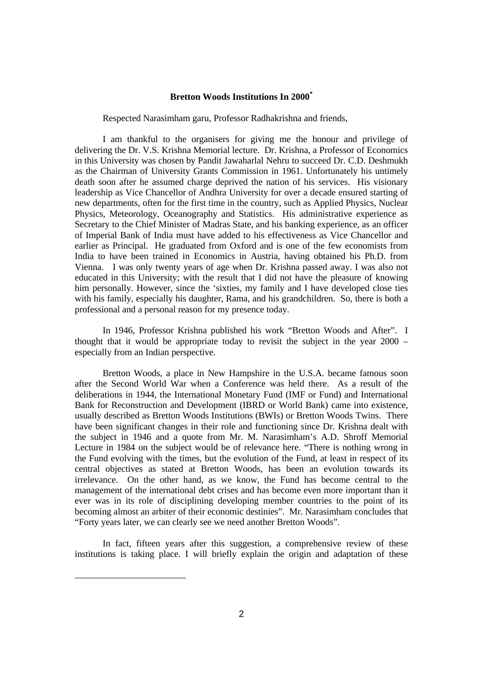# **Bretton Woods Institutions In 2000\***

Respected Narasimham garu, Professor Radhakrishna and friends,

I am thankful to the organisers for giving me the honour and privilege of delivering the Dr. V.S. Krishna Memorial lecture. Dr. Krishna, a Professor of Economics in this University was chosen by Pandit Jawaharlal Nehru to succeed Dr. C.D. Deshmukh as the Chairman of University Grants Commission in 1961. Unfortunately his untimely death soon after he assumed charge deprived the nation of his services. His visionary leadership as Vice Chancellor of Andhra University for over a decade ensured starting of new departments, often for the first time in the country, such as Applied Physics, Nuclear Physics, Meteorology, Oceanography and Statistics. His administrative experience as Secretary to the Chief Minister of Madras State, and his banking experience, as an officer of Imperial Bank of India must have added to his effectiveness as Vice Chancellor and earlier as Principal. He graduated from Oxford and is one of the few economists from India to have been trained in Economics in Austria, having obtained his Ph.D. from Vienna. I was only twenty years of age when Dr. Krishna passed away. I was also not educated in this University; with the result that I did not have the pleasure of knowing him personally. However, since the 'sixties, my family and I have developed close ties with his family, especially his daughter, Rama, and his grandchildren. So, there is both a professional and a personal reason for my presence today.

In 1946, Professor Krishna published his work "Bretton Woods and After". I thought that it would be appropriate today to revisit the subject in the year 2000 – especially from an Indian perspective.

Bretton Woods, a place in New Hampshire in the U.S.A. became famous soon after the Second World War when a Conference was held there. As a result of the deliberations in 1944, the International Monetary Fund (IMF or Fund) and International Bank for Reconstruction and Development (IBRD or World Bank) came into existence, usually described as Bretton Woods Institutions (BWIs) or Bretton Woods Twins. There have been significant changes in their role and functioning since Dr. Krishna dealt with the subject in 1946 and a quote from Mr. M. Narasimham's A.D. Shroff Memorial Lecture in 1984 on the subject would be of relevance here. "There is nothing wrong in the Fund evolving with the times, but the evolution of the Fund, at least in respect of its central objectives as stated at Bretton Woods, has been an evolution towards its irrelevance. On the other hand, as we know, the Fund has become central to the management of the international debt crises and has become even more important than it ever was in its role of disciplining developing member countries to the point of its becoming almost an arbiter of their economic destinies". Mr. Narasimham concludes that "Forty years later, we can clearly see we need another Bretton Woods".

In fact, fifteen years after this suggestion, a comprehensive review of these institutions is taking place. I will briefly explain the origin and adaptation of these

-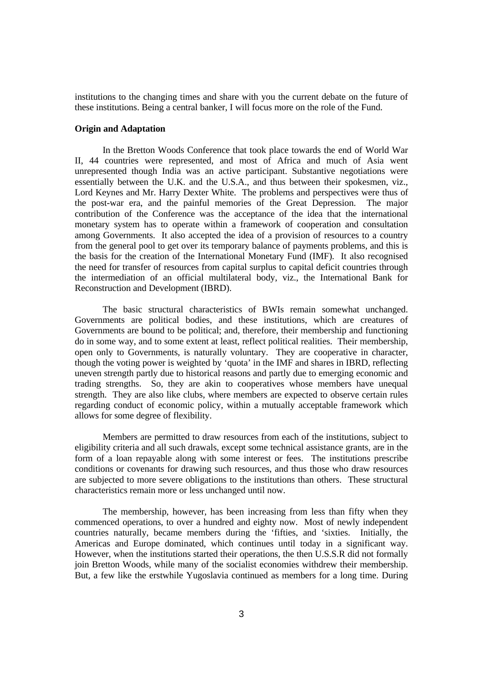institutions to the changing times and share with you the current debate on the future of these institutions. Being a central banker, I will focus more on the role of the Fund.

# **Origin and Adaptation**

In the Bretton Woods Conference that took place towards the end of World War II, 44 countries were represented, and most of Africa and much of Asia went unrepresented though India was an active participant. Substantive negotiations were essentially between the U.K. and the U.S.A., and thus between their spokesmen, viz., Lord Keynes and Mr. Harry Dexter White. The problems and perspectives were thus of the post-war era, and the painful memories of the Great Depression. The major contribution of the Conference was the acceptance of the idea that the international monetary system has to operate within a framework of cooperation and consultation among Governments. It also accepted the idea of a provision of resources to a country from the general pool to get over its temporary balance of payments problems, and this is the basis for the creation of the International Monetary Fund (IMF). It also recognised the need for transfer of resources from capital surplus to capital deficit countries through the intermediation of an official multilateral body, viz., the International Bank for Reconstruction and Development (IBRD).

The basic structural characteristics of BWIs remain somewhat unchanged. Governments are political bodies, and these institutions, which are creatures of Governments are bound to be political; and, therefore, their membership and functioning do in some way, and to some extent at least, reflect political realities. Their membership, open only to Governments, is naturally voluntary. They are cooperative in character, though the voting power is weighted by 'quota' in the IMF and shares in IBRD, reflecting uneven strength partly due to historical reasons and partly due to emerging economic and trading strengths. So, they are akin to cooperatives whose members have unequal strength. They are also like clubs, where members are expected to observe certain rules regarding conduct of economic policy, within a mutually acceptable framework which allows for some degree of flexibility.

Members are permitted to draw resources from each of the institutions, subject to eligibility criteria and all such drawals, except some technical assistance grants, are in the form of a loan repayable along with some interest or fees. The institutions prescribe conditions or covenants for drawing such resources, and thus those who draw resources are subjected to more severe obligations to the institutions than others. These structural characteristics remain more or less unchanged until now.

The membership, however, has been increasing from less than fifty when they commenced operations, to over a hundred and eighty now. Most of newly independent countries naturally, became members during the 'fifties, and 'sixties. Initially, the Americas and Europe dominated, which continues until today in a significant way. However, when the institutions started their operations, the then U.S.S.R did not formally join Bretton Woods, while many of the socialist economies withdrew their membership. But, a few like the erstwhile Yugoslavia continued as members for a long time. During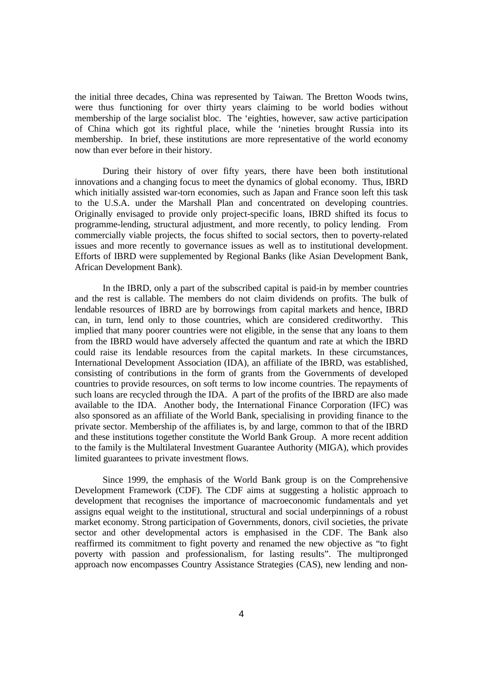the initial three decades, China was represented by Taiwan. The Bretton Woods twins, were thus functioning for over thirty years claiming to be world bodies without membership of the large socialist bloc. The 'eighties, however, saw active participation of China which got its rightful place, while the 'nineties brought Russia into its membership. In brief, these institutions are more representative of the world economy now than ever before in their history.

During their history of over fifty years, there have been both institutional innovations and a changing focus to meet the dynamics of global economy. Thus, IBRD which initially assisted war-torn economies, such as Japan and France soon left this task to the U.S.A. under the Marshall Plan and concentrated on developing countries. Originally envisaged to provide only project-specific loans, IBRD shifted its focus to programme-lending, structural adjustment, and more recently, to policy lending. From commercially viable projects, the focus shifted to social sectors, then to poverty-related issues and more recently to governance issues as well as to institutional development. Efforts of IBRD were supplemented by Regional Banks (like Asian Development Bank, African Development Bank).

In the IBRD, only a part of the subscribed capital is paid-in by member countries and the rest is callable. The members do not claim dividends on profits. The bulk of lendable resources of IBRD are by borrowings from capital markets and hence, IBRD can, in turn, lend only to those countries, which are considered creditworthy. This implied that many poorer countries were not eligible, in the sense that any loans to them from the IBRD would have adversely affected the quantum and rate at which the IBRD could raise its lendable resources from the capital markets. In these circumstances, International Development Association (IDA), an affiliate of the IBRD, was established, consisting of contributions in the form of grants from the Governments of developed countries to provide resources, on soft terms to low income countries. The repayments of such loans are recycled through the IDA. A part of the profits of the IBRD are also made available to the IDA. Another body, the International Finance Corporation (IFC) was also sponsored as an affiliate of the World Bank, specialising in providing finance to the private sector. Membership of the affiliates is, by and large, common to that of the IBRD and these institutions together constitute the World Bank Group. A more recent addition to the family is the Multilateral Investment Guarantee Authority (MIGA), which provides limited guarantees to private investment flows.

Since 1999, the emphasis of the World Bank group is on the Comprehensive Development Framework (CDF). The CDF aims at suggesting a holistic approach to development that recognises the importance of macroeconomic fundamentals and yet assigns equal weight to the institutional, structural and social underpinnings of a robust market economy. Strong participation of Governments, donors, civil societies, the private sector and other developmental actors is emphasised in the CDF. The Bank also reaffirmed its commitment to fight poverty and renamed the new objective as "to fight poverty with passion and professionalism, for lasting results". The multipronged approach now encompasses Country Assistance Strategies (CAS), new lending and non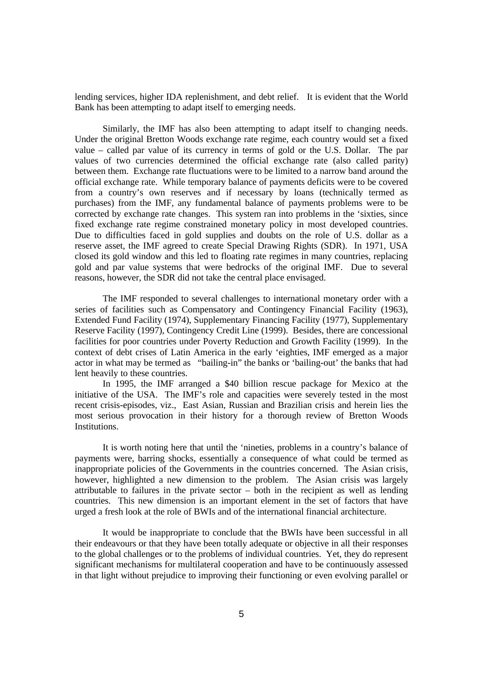lending services, higher IDA replenishment, and debt relief. It is evident that the World Bank has been attempting to adapt itself to emerging needs.

Similarly, the IMF has also been attempting to adapt itself to changing needs. Under the original Bretton Woods exchange rate regime, each country would set a fixed value – called par value of its currency in terms of gold or the U.S. Dollar. The par values of two currencies determined the official exchange rate (also called parity) between them. Exchange rate fluctuations were to be limited to a narrow band around the official exchange rate. While temporary balance of payments deficits were to be covered from a country's own reserves and if necessary by loans (technically termed as purchases) from the IMF, any fundamental balance of payments problems were to be corrected by exchange rate changes. This system ran into problems in the 'sixties, since fixed exchange rate regime constrained monetary policy in most developed countries. Due to difficulties faced in gold supplies and doubts on the role of U.S. dollar as a reserve asset, the IMF agreed to create Special Drawing Rights (SDR). In 1971, USA closed its gold window and this led to floating rate regimes in many countries, replacing gold and par value systems that were bedrocks of the original IMF. Due to several reasons, however, the SDR did not take the central place envisaged.

The IMF responded to several challenges to international monetary order with a series of facilities such as Compensatory and Contingency Financial Facility (1963), Extended Fund Facility (1974), Supplementary Financing Facility (1977), Supplementary Reserve Facility (1997), Contingency Credit Line (1999). Besides, there are concessional facilities for poor countries under Poverty Reduction and Growth Facility (1999). In the context of debt crises of Latin America in the early 'eighties, IMF emerged as a major actor in what may be termed as "bailing-in" the banks or 'bailing-out' the banks that had lent heavily to these countries.

In 1995, the IMF arranged a \$40 billion rescue package for Mexico at the initiative of the USA. The IMF's role and capacities were severely tested in the most recent crisis-episodes, viz., East Asian, Russian and Brazilian crisis and herein lies the most serious provocation in their history for a thorough review of Bretton Woods Institutions.

It is worth noting here that until the 'nineties, problems in a country's balance of payments were, barring shocks, essentially a consequence of what could be termed as inappropriate policies of the Governments in the countries concerned. The Asian crisis, however, highlighted a new dimension to the problem. The Asian crisis was largely attributable to failures in the private sector – both in the recipient as well as lending countries. This new dimension is an important element in the set of factors that have urged a fresh look at the role of BWIs and of the international financial architecture.

It would be inappropriate to conclude that the BWIs have been successful in all their endeavours or that they have been totally adequate or objective in all their responses to the global challenges or to the problems of individual countries. Yet, they do represent significant mechanisms for multilateral cooperation and have to be continuously assessed in that light without prejudice to improving their functioning or even evolving parallel or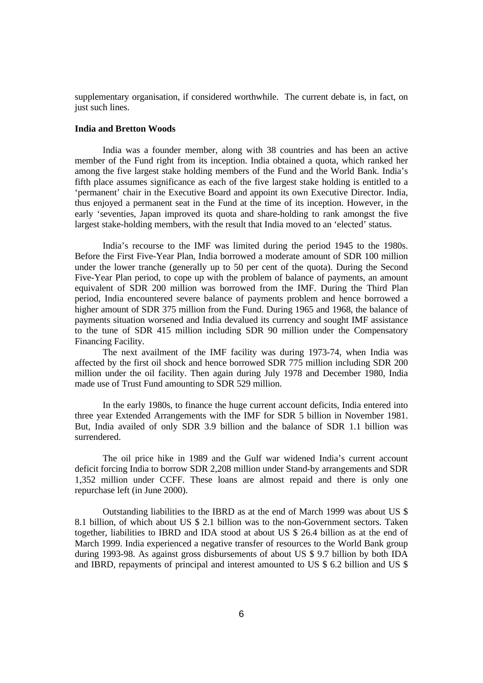supplementary organisation, if considered worthwhile. The current debate is, in fact, on just such lines.

# **India and Bretton Woods**

India was a founder member, along with 38 countries and has been an active member of the Fund right from its inception. India obtained a quota, which ranked her among the five largest stake holding members of the Fund and the World Bank. India's fifth place assumes significance as each of the five largest stake holding is entitled to a 'permanent' chair in the Executive Board and appoint its own Executive Director. India, thus enjoyed a permanent seat in the Fund at the time of its inception. However, in the early 'seventies, Japan improved its quota and share-holding to rank amongst the five largest stake-holding members, with the result that India moved to an 'elected' status.

India's recourse to the IMF was limited during the period 1945 to the 1980s. Before the First Five-Year Plan, India borrowed a moderate amount of SDR 100 million under the lower tranche (generally up to 50 per cent of the quota). During the Second Five-Year Plan period, to cope up with the problem of balance of payments, an amount equivalent of SDR 200 million was borrowed from the IMF. During the Third Plan period, India encountered severe balance of payments problem and hence borrowed a higher amount of SDR 375 million from the Fund. During 1965 and 1968, the balance of payments situation worsened and India devalued its currency and sought IMF assistance to the tune of SDR 415 million including SDR 90 million under the Compensatory Financing Facility.

The next availment of the IMF facility was during 1973-74, when India was affected by the first oil shock and hence borrowed SDR 775 million including SDR 200 million under the oil facility. Then again during July 1978 and December 1980, India made use of Trust Fund amounting to SDR 529 million.

In the early 1980s, to finance the huge current account deficits, India entered into three year Extended Arrangements with the IMF for SDR 5 billion in November 1981. But, India availed of only SDR 3.9 billion and the balance of SDR 1.1 billion was surrendered.

The oil price hike in 1989 and the Gulf war widened India's current account deficit forcing India to borrow SDR 2,208 million under Stand-by arrangements and SDR 1,352 million under CCFF. These loans are almost repaid and there is only one repurchase left (in June 2000).

Outstanding liabilities to the IBRD as at the end of March 1999 was about US \$ 8.1 billion, of which about US \$ 2.1 billion was to the non-Government sectors. Taken together, liabilities to IBRD and IDA stood at about US \$ 26.4 billion as at the end of March 1999. India experienced a negative transfer of resources to the World Bank group during 1993-98. As against gross disbursements of about US \$ 9.7 billion by both IDA and IBRD, repayments of principal and interest amounted to US \$ 6.2 billion and US \$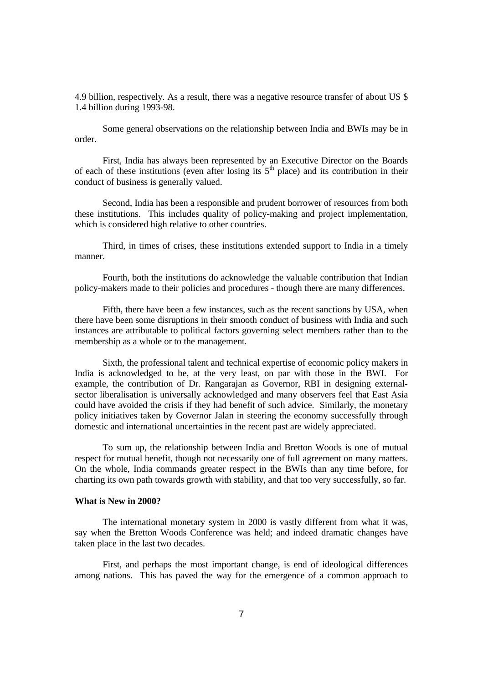4.9 billion, respectively. As a result, there was a negative resource transfer of about US \$ 1.4 billion during 1993-98.

Some general observations on the relationship between India and BWIs may be in order.

First, India has always been represented by an Executive Director on the Boards of each of these institutions (even after losing its  $5<sup>th</sup>$  place) and its contribution in their conduct of business is generally valued.

Second, India has been a responsible and prudent borrower of resources from both these institutions. This includes quality of policy-making and project implementation, which is considered high relative to other countries.

Third, in times of crises, these institutions extended support to India in a timely manner.

Fourth, both the institutions do acknowledge the valuable contribution that Indian policy-makers made to their policies and procedures - though there are many differences.

Fifth, there have been a few instances, such as the recent sanctions by USA, when there have been some disruptions in their smooth conduct of business with India and such instances are attributable to political factors governing select members rather than to the membership as a whole or to the management.

Sixth, the professional talent and technical expertise of economic policy makers in India is acknowledged to be, at the very least, on par with those in the BWI. For example, the contribution of Dr. Rangarajan as Governor, RBI in designing externalsector liberalisation is universally acknowledged and many observers feel that East Asia could have avoided the crisis if they had benefit of such advice. Similarly, the monetary policy initiatives taken by Governor Jalan in steering the economy successfully through domestic and international uncertainties in the recent past are widely appreciated.

To sum up, the relationship between India and Bretton Woods is one of mutual respect for mutual benefit, though not necessarily one of full agreement on many matters. On the whole, India commands greater respect in the BWIs than any time before, for charting its own path towards growth with stability, and that too very successfully, so far.

## **What is New in 2000?**

The international monetary system in 2000 is vastly different from what it was, say when the Bretton Woods Conference was held; and indeed dramatic changes have taken place in the last two decades.

First, and perhaps the most important change, is end of ideological differences among nations. This has paved the way for the emergence of a common approach to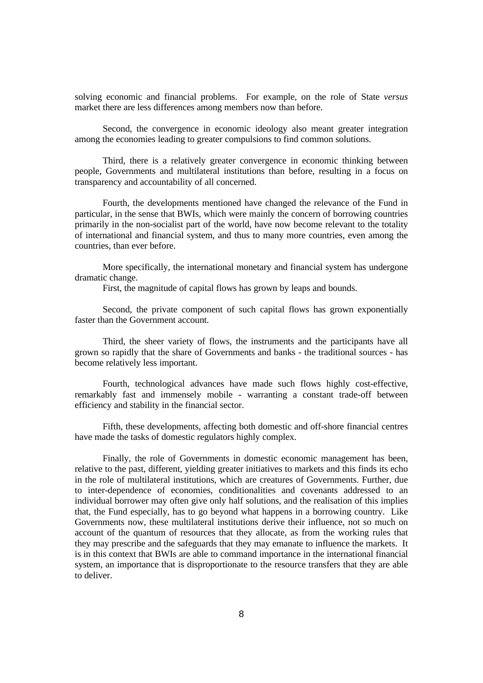solving economic and financial problems. For example, on the role of State *versus* market there are less differences among members now than before.

Second, the convergence in economic ideology also meant greater integration among the economies leading to greater compulsions to find common solutions.

Third, there is a relatively greater convergence in economic thinking between people, Governments and multilateral institutions than before, resulting in a focus on transparency and accountability of all concerned.

Fourth, the developments mentioned have changed the relevance of the Fund in particular, in the sense that BWIs, which were mainly the concern of borrowing countries primarily in the non-socialist part of the world, have now become relevant to the totality of international and financial system, and thus to many more countries, even among the countries, than ever before.

More specifically, the international monetary and financial system has undergone dramatic change.

First, the magnitude of capital flows has grown by leaps and bounds.

Second, the private component of such capital flows has grown exponentially faster than the Government account.

Third, the sheer variety of flows, the instruments and the participants have all grown so rapidly that the share of Governments and banks - the traditional sources - has become relatively less important.

Fourth, technological advances have made such flows highly cost-effective, remarkably fast and immensely mobile - warranting a constant trade-off between efficiency and stability in the financial sector.

Fifth, these developments, affecting both domestic and off-shore financial centres have made the tasks of domestic regulators highly complex.

Finally, the role of Governments in domestic economic management has been, relative to the past, different, yielding greater initiatives to markets and this finds its echo in the role of multilateral institutions, which are creatures of Governments. Further, due to inter-dependence of economies, conditionalities and covenants addressed to an individual borrower may often give only half solutions, and the realisation of this implies that, the Fund especially, has to go beyond what happens in a borrowing country. Like Governments now, these multilateral institutions derive their influence, not so much on account of the quantum of resources that they allocate, as from the working rules that they may prescribe and the safeguards that they may emanate to influence the markets. It is in this context that BWIs are able to command importance in the international financial system, an importance that is disproportionate to the resource transfers that they are able to deliver.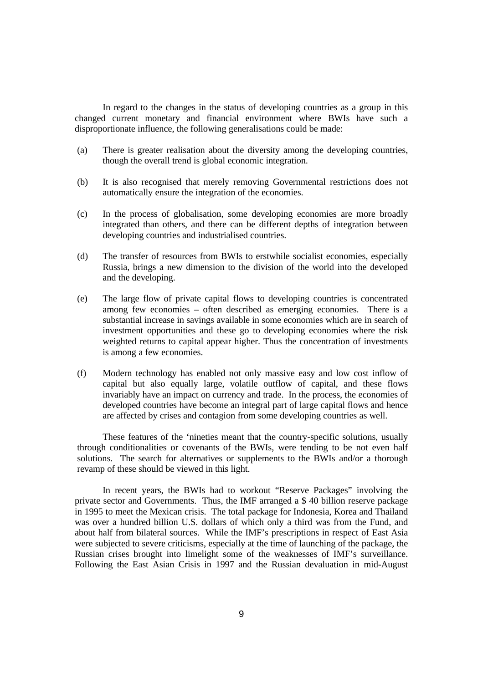In regard to the changes in the status of developing countries as a group in this changed current monetary and financial environment where BWIs have such a disproportionate influence, the following generalisations could be made:

- (a) There is greater realisation about the diversity among the developing countries, though the overall trend is global economic integration.
- (b) It is also recognised that merely removing Governmental restrictions does not automatically ensure the integration of the economies.
- (c) In the process of globalisation, some developing economies are more broadly integrated than others, and there can be different depths of integration between developing countries and industrialised countries.
- (d) The transfer of resources from BWIs to erstwhile socialist economies, especially Russia, brings a new dimension to the division of the world into the developed and the developing.
- (e) The large flow of private capital flows to developing countries is concentrated among few economies – often described as emerging economies. There is a substantial increase in savings available in some economies which are in search of investment opportunities and these go to developing economies where the risk weighted returns to capital appear higher. Thus the concentration of investments is among a few economies.
- (f) Modern technology has enabled not only massive easy and low cost inflow of capital but also equally large, volatile outflow of capital, and these flows invariably have an impact on currency and trade. In the process, the economies of developed countries have become an integral part of large capital flows and hence are affected by crises and contagion from some developing countries as well.

These features of the 'nineties meant that the country-specific solutions, usually through conditionalities or covenants of the BWIs, were tending to be not even half solutions. The search for alternatives or supplements to the BWIs and/or a thorough revamp of these should be viewed in this light.

In recent years, the BWIs had to workout "Reserve Packages" involving the private sector and Governments. Thus, the IMF arranged a \$ 40 billion reserve package in 1995 to meet the Mexican crisis. The total package for Indonesia, Korea and Thailand was over a hundred billion U.S. dollars of which only a third was from the Fund, and about half from bilateral sources. While the IMF's prescriptions in respect of East Asia were subjected to severe criticisms, especially at the time of launching of the package, the Russian crises brought into limelight some of the weaknesses of IMF's surveillance. Following the East Asian Crisis in 1997 and the Russian devaluation in mid-August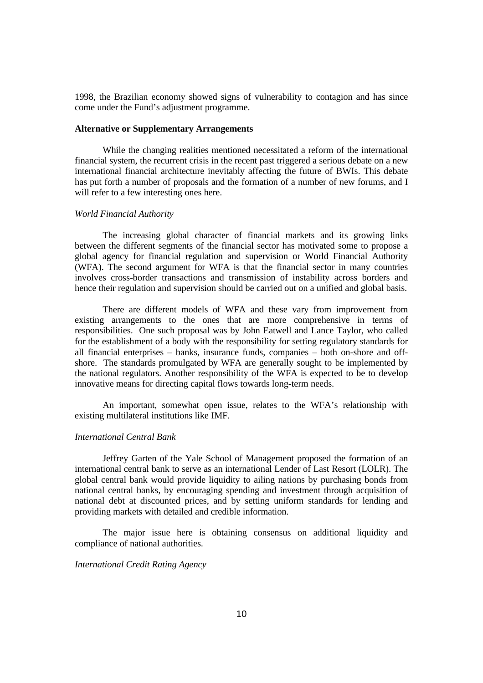1998, the Brazilian economy showed signs of vulnerability to contagion and has since come under the Fund's adjustment programme.

# **Alternative or Supplementary Arrangements**

While the changing realities mentioned necessitated a reform of the international financial system, the recurrent crisis in the recent past triggered a serious debate on a new international financial architecture inevitably affecting the future of BWIs. This debate has put forth a number of proposals and the formation of a number of new forums, and I will refer to a few interesting ones here.

### *World Financial Authority*

The increasing global character of financial markets and its growing links between the different segments of the financial sector has motivated some to propose a global agency for financial regulation and supervision or World Financial Authority (WFA). The second argument for WFA is that the financial sector in many countries involves cross-border transactions and transmission of instability across borders and hence their regulation and supervision should be carried out on a unified and global basis.

There are different models of WFA and these vary from improvement from existing arrangements to the ones that are more comprehensive in terms of responsibilities. One such proposal was by John Eatwell and Lance Taylor, who called for the establishment of a body with the responsibility for setting regulatory standards for all financial enterprises – banks, insurance funds, companies – both on-shore and offshore. The standards promulgated by WFA are generally sought to be implemented by the national regulators. Another responsibility of the WFA is expected to be to develop innovative means for directing capital flows towards long-term needs.

An important, somewhat open issue, relates to the WFA's relationship with existing multilateral institutions like IMF.

### *International Central Bank*

Jeffrey Garten of the Yale School of Management proposed the formation of an international central bank to serve as an international Lender of Last Resort (LOLR). The global central bank would provide liquidity to ailing nations by purchasing bonds from national central banks, by encouraging spending and investment through acquisition of national debt at discounted prices, and by setting uniform standards for lending and providing markets with detailed and credible information.

The major issue here is obtaining consensus on additional liquidity and compliance of national authorities.

# *International Credit Rating Agency*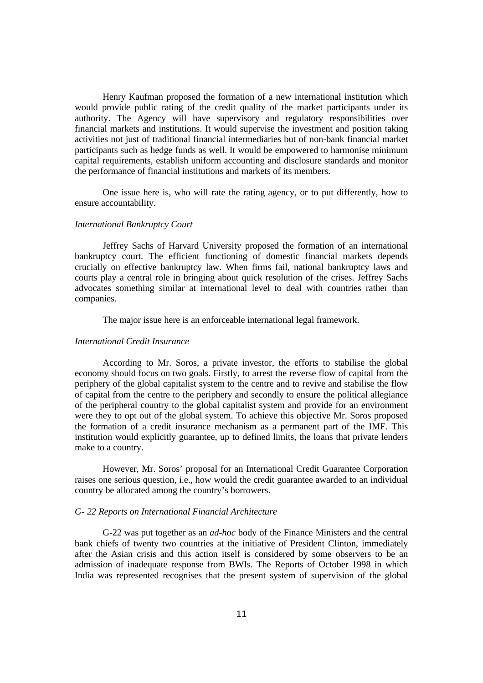Henry Kaufman proposed the formation of a new international institution which would provide public rating of the credit quality of the market participants under its authority. The Agency will have supervisory and regulatory responsibilities over financial markets and institutions. It would supervise the investment and position taking activities not just of traditional financial intermediaries but of non-bank financial market participants such as hedge funds as well. It would be empowered to harmonise minimum capital requirements, establish uniform accounting and disclosure standards and monitor the performance of financial institutions and markets of its members.

One issue here is, who will rate the rating agency, or to put differently, how to ensure accountability.

#### *International Bankruptcy Court*

Jeffrey Sachs of Harvard University proposed the formation of an international bankruptcy court. The efficient functioning of domestic financial markets depends crucially on effective bankruptcy law. When firms fail, national bankruptcy laws and courts play a central role in bringing about quick resolution of the crises. Jeffrey Sachs advocates something similar at international level to deal with countries rather than companies.

The major issue here is an enforceable international legal framework.

# *International Credit Insurance*

According to Mr. Soros, a private investor, the efforts to stabilise the global economy should focus on two goals. Firstly, to arrest the reverse flow of capital from the periphery of the global capitalist system to the centre and to revive and stabilise the flow of capital from the centre to the periphery and secondly to ensure the political allegiance of the peripheral country to the global capitalist system and provide for an environment were they to opt out of the global system. To achieve this objective Mr. Soros proposed the formation of a credit insurance mechanism as a permanent part of the IMF. This institution would explicitly guarantee, up to defined limits, the loans that private lenders make to a country.

However, Mr. Soros' proposal for an International Credit Guarantee Corporation raises one serious question, i.e., how would the credit guarantee awarded to an individual country be allocated among the country's borrowers.

### *G- 22 Reports on International Financial Architecture*

G-22 was put together as an *ad-hoc* body of the Finance Ministers and the central bank chiefs of twenty two countries at the initiative of President Clinton, immediately after the Asian crisis and this action itself is considered by some observers to be an admission of inadequate response from BWIs. The Reports of October 1998 in which India was represented recognises that the present system of supervision of the global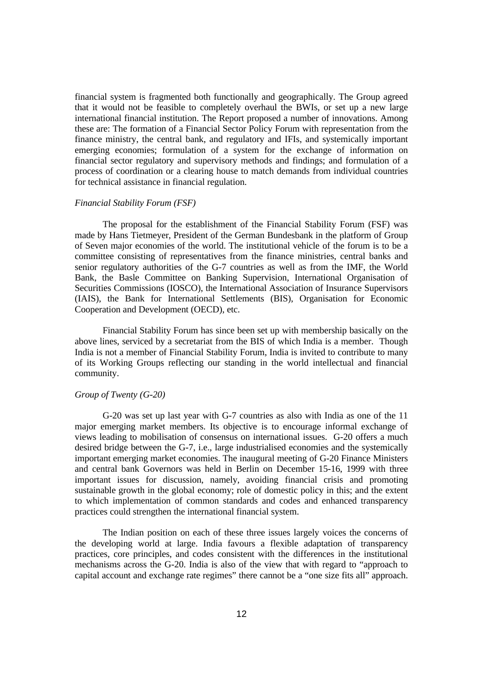financial system is fragmented both functionally and geographically. The Group agreed that it would not be feasible to completely overhaul the BWIs, or set up a new large international financial institution. The Report proposed a number of innovations. Among these are: The formation of a Financial Sector Policy Forum with representation from the finance ministry, the central bank, and regulatory and IFIs, and systemically important emerging economies; formulation of a system for the exchange of information on financial sector regulatory and supervisory methods and findings; and formulation of a process of coordination or a clearing house to match demands from individual countries for technical assistance in financial regulation.

### *Financial Stability Forum (FSF)*

The proposal for the establishment of the Financial Stability Forum (FSF) was made by Hans Tietmeyer, President of the German Bundesbank in the platform of Group of Seven major economies of the world. The institutional vehicle of the forum is to be a committee consisting of representatives from the finance ministries, central banks and senior regulatory authorities of the G-7 countries as well as from the IMF, the World Bank, the Basle Committee on Banking Supervision, International Organisation of Securities Commissions (IOSCO), the International Association of Insurance Supervisors (IAIS), the Bank for International Settlements (BIS), Organisation for Economic Cooperation and Development (OECD), etc.

Financial Stability Forum has since been set up with membership basically on the above lines, serviced by a secretariat from the BIS of which India is a member. Though India is not a member of Financial Stability Forum, India is invited to contribute to many of its Working Groups reflecting our standing in the world intellectual and financial community.

# *Group of Twenty (G-20)*

G-20 was set up last year with G-7 countries as also with India as one of the 11 major emerging market members. Its objective is to encourage informal exchange of views leading to mobilisation of consensus on international issues. G-20 offers a much desired bridge between the G-7, i.e., large industrialised economies and the systemically important emerging market economies. The inaugural meeting of G-20 Finance Ministers and central bank Governors was held in Berlin on December 15-16, 1999 with three important issues for discussion, namely, avoiding financial crisis and promoting sustainable growth in the global economy; role of domestic policy in this; and the extent to which implementation of common standards and codes and enhanced transparency practices could strengthen the international financial system.

The Indian position on each of these three issues largely voices the concerns of the developing world at large. India favours a flexible adaptation of transparency practices, core principles, and codes consistent with the differences in the institutional mechanisms across the G-20. India is also of the view that with regard to "approach to capital account and exchange rate regimes" there cannot be a "one size fits all" approach.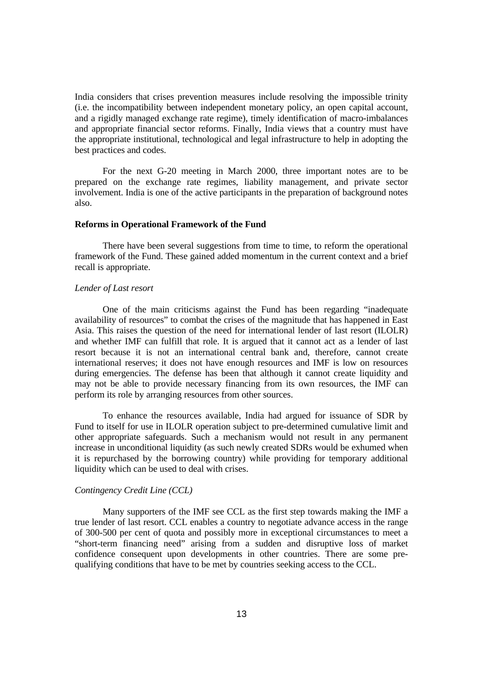India considers that crises prevention measures include resolving the impossible trinity (i.e. the incompatibility between independent monetary policy, an open capital account, and a rigidly managed exchange rate regime), timely identification of macro-imbalances and appropriate financial sector reforms. Finally, India views that a country must have the appropriate institutional, technological and legal infrastructure to help in adopting the best practices and codes.

For the next G-20 meeting in March 2000, three important notes are to be prepared on the exchange rate regimes, liability management, and private sector involvement. India is one of the active participants in the preparation of background notes also.

## **Reforms in Operational Framework of the Fund**

There have been several suggestions from time to time, to reform the operational framework of the Fund. These gained added momentum in the current context and a brief recall is appropriate.

# *Lender of Last resort*

One of the main criticisms against the Fund has been regarding "inadequate availability of resources" to combat the crises of the magnitude that has happened in East Asia. This raises the question of the need for international lender of last resort (ILOLR) and whether IMF can fulfill that role. It is argued that it cannot act as a lender of last resort because it is not an international central bank and, therefore, cannot create international reserves; it does not have enough resources and IMF is low on resources during emergencies. The defense has been that although it cannot create liquidity and may not be able to provide necessary financing from its own resources, the IMF can perform its role by arranging resources from other sources.

To enhance the resources available, India had argued for issuance of SDR by Fund to itself for use in ILOLR operation subject to pre-determined cumulative limit and other appropriate safeguards. Such a mechanism would not result in any permanent increase in unconditional liquidity (as such newly created SDRs would be exhumed when it is repurchased by the borrowing country) while providing for temporary additional liquidity which can be used to deal with crises.

#### *Contingency Credit Line (CCL)*

Many supporters of the IMF see CCL as the first step towards making the IMF a true lender of last resort. CCL enables a country to negotiate advance access in the range of 300-500 per cent of quota and possibly more in exceptional circumstances to meet a "short-term financing need" arising from a sudden and disruptive loss of market confidence consequent upon developments in other countries. There are some prequalifying conditions that have to be met by countries seeking access to the CCL.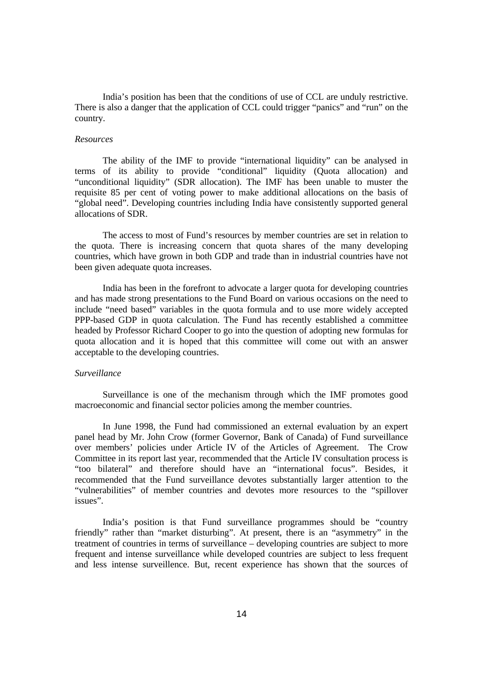India's position has been that the conditions of use of CCL are unduly restrictive. There is also a danger that the application of CCL could trigger "panics" and "run" on the country.

# *Resources*

The ability of the IMF to provide "international liquidity" can be analysed in terms of its ability to provide "conditional" liquidity (Quota allocation) and "unconditional liquidity" (SDR allocation). The IMF has been unable to muster the requisite 85 per cent of voting power to make additional allocations on the basis of "global need". Developing countries including India have consistently supported general allocations of SDR.

The access to most of Fund's resources by member countries are set in relation to the quota. There is increasing concern that quota shares of the many developing countries, which have grown in both GDP and trade than in industrial countries have not been given adequate quota increases.

India has been in the forefront to advocate a larger quota for developing countries and has made strong presentations to the Fund Board on various occasions on the need to include "need based" variables in the quota formula and to use more widely accepted PPP-based GDP in quota calculation. The Fund has recently established a committee headed by Professor Richard Cooper to go into the question of adopting new formulas for quota allocation and it is hoped that this committee will come out with an answer acceptable to the developing countries.

## *Surveillance*

Surveillance is one of the mechanism through which the IMF promotes good macroeconomic and financial sector policies among the member countries.

In June 1998, the Fund had commissioned an external evaluation by an expert panel head by Mr. John Crow (former Governor, Bank of Canada) of Fund surveillance over members' policies under Article IV of the Articles of Agreement. The Crow Committee in its report last year, recommended that the Article IV consultation process is "too bilateral" and therefore should have an "international focus". Besides, it recommended that the Fund surveillance devotes substantially larger attention to the "vulnerabilities" of member countries and devotes more resources to the "spillover issues".

India's position is that Fund surveillance programmes should be "country friendly" rather than "market disturbing". At present, there is an "asymmetry" in the treatment of countries in terms of surveillance – developing countries are subject to more frequent and intense surveillance while developed countries are subject to less frequent and less intense surveillence. But, recent experience has shown that the sources of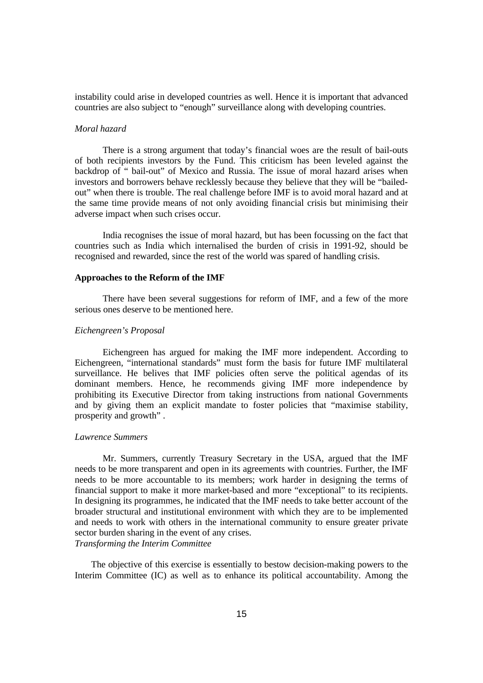instability could arise in developed countries as well. Hence it is important that advanced countries are also subject to "enough" surveillance along with developing countries.

# *Moral hazard*

There is a strong argument that today's financial woes are the result of bail-outs of both recipients investors by the Fund. This criticism has been leveled against the backdrop of " bail-out" of Mexico and Russia. The issue of moral hazard arises when investors and borrowers behave recklessly because they believe that they will be "bailedout" when there is trouble. The real challenge before IMF is to avoid moral hazard and at the same time provide means of not only avoiding financial crisis but minimising their adverse impact when such crises occur.

India recognises the issue of moral hazard, but has been focussing on the fact that countries such as India which internalised the burden of crisis in 1991-92, should be recognised and rewarded, since the rest of the world was spared of handling crisis.

### **Approaches to the Reform of the IMF**

There have been several suggestions for reform of IMF, and a few of the more serious ones deserve to be mentioned here.

## *Eichengreen's Proposal*

Eichengreen has argued for making the IMF more independent. According to Eichengreen, "international standards" must form the basis for future IMF multilateral surveillance. He belives that IMF policies often serve the political agendas of its dominant members. Hence, he recommends giving IMF more independence by prohibiting its Executive Director from taking instructions from national Governments and by giving them an explicit mandate to foster policies that "maximise stability, prosperity and growth" .

#### *Lawrence Summers*

Mr. Summers, currently Treasury Secretary in the USA, argued that the IMF needs to be more transparent and open in its agreements with countries. Further, the IMF needs to be more accountable to its members; work harder in designing the terms of financial support to make it more market-based and more "exceptional" to its recipients. In designing its programmes, he indicated that the IMF needs to take better account of the broader structural and institutional environment with which they are to be implemented and needs to work with others in the international community to ensure greater private sector burden sharing in the event of any crises. *Transforming the Interim Committee*

 The objective of this exercise is essentially to bestow decision-making powers to the Interim Committee (IC) as well as to enhance its political accountability. Among the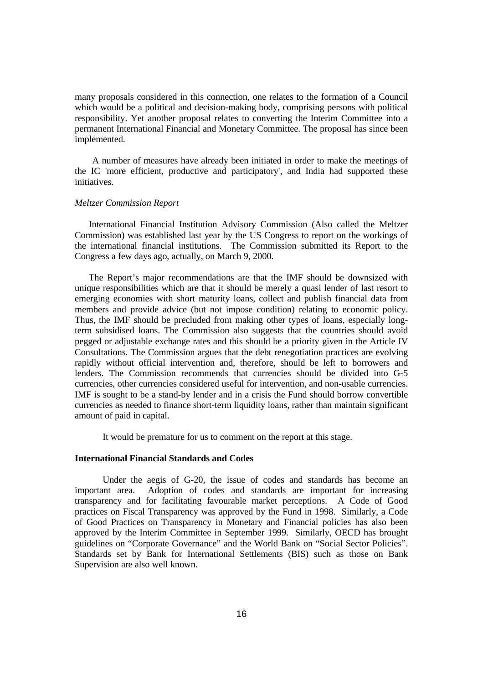many proposals considered in this connection, one relates to the formation of a Council which would be a political and decision-making body, comprising persons with political responsibility. Yet another proposal relates to converting the Interim Committee into a permanent International Financial and Monetary Committee. The proposal has since been implemented.

 A number of measures have already been initiated in order to make the meetings of the IC 'more efficient, productive and participatory', and India had supported these initiatives.

### *Meltzer Commission Report*

 International Financial Institution Advisory Commission (Also called the Meltzer Commission) was established last year by the US Congress to report on the workings of the international financial institutions. The Commission submitted its Report to the Congress a few days ago, actually, on March 9, 2000.

 The Report's major recommendations are that the IMF should be downsized with unique responsibilities which are that it should be merely a quasi lender of last resort to emerging economies with short maturity loans, collect and publish financial data from members and provide advice (but not impose condition) relating to economic policy. Thus, the IMF should be precluded from making other types of loans, especially longterm subsidised loans. The Commission also suggests that the countries should avoid pegged or adjustable exchange rates and this should be a priority given in the Article IV Consultations. The Commission argues that the debt renegotiation practices are evolving rapidly without official intervention and, therefore, should be left to borrowers and lenders. The Commission recommends that currencies should be divided into G-5 currencies, other currencies considered useful for intervention, and non-usable currencies. IMF is sought to be a stand-by lender and in a crisis the Fund should borrow convertible currencies as needed to finance short-term liquidity loans, rather than maintain significant amount of paid in capital.

It would be premature for us to comment on the report at this stage.

## **International Financial Standards and Codes**

Under the aegis of G-20, the issue of codes and standards has become an important area. Adoption of codes and standards are important for increasing transparency and for facilitating favourable market perceptions. A Code of Good practices on Fiscal Transparency was approved by the Fund in 1998. Similarly, a Code of Good Practices on Transparency in Monetary and Financial policies has also been approved by the Interim Committee in September 1999. Similarly, OECD has brought guidelines on "Corporate Governance" and the World Bank on "Social Sector Policies". Standards set by Bank for International Settlements (BIS) such as those on Bank Supervision are also well known.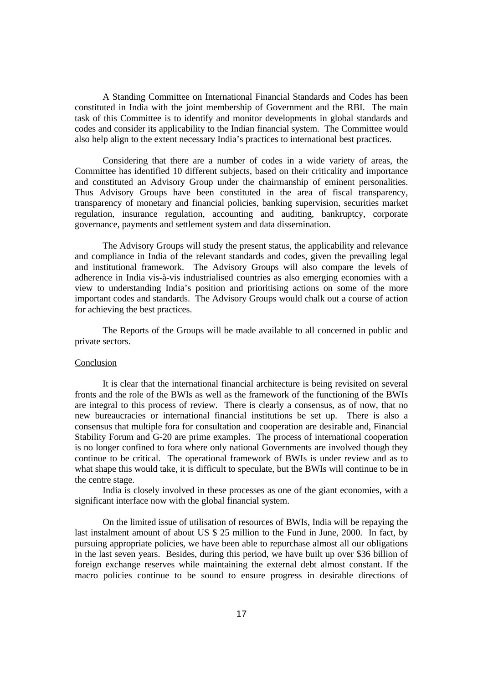A Standing Committee on International Financial Standards and Codes has been constituted in India with the joint membership of Government and the RBI. The main task of this Committee is to identify and monitor developments in global standards and codes and consider its applicability to the Indian financial system. The Committee would also help align to the extent necessary India's practices to international best practices.

Considering that there are a number of codes in a wide variety of areas, the Committee has identified 10 different subjects, based on their criticality and importance and constituted an Advisory Group under the chairmanship of eminent personalities. Thus Advisory Groups have been constituted in the area of fiscal transparency, transparency of monetary and financial policies, banking supervision, securities market regulation, insurance regulation, accounting and auditing, bankruptcy, corporate governance, payments and settlement system and data dissemination.

The Advisory Groups will study the present status, the applicability and relevance and compliance in India of the relevant standards and codes, given the prevailing legal and institutional framework. The Advisory Groups will also compare the levels of adherence in India vis-à-vis industrialised countries as also emerging economies with a view to understanding India's position and prioritising actions on some of the more important codes and standards. The Advisory Groups would chalk out a course of action for achieving the best practices.

The Reports of the Groups will be made available to all concerned in public and private sectors.

# **Conclusion**

It is clear that the international financial architecture is being revisited on several fronts and the role of the BWIs as well as the framework of the functioning of the BWIs are integral to this process of review. There is clearly a consensus, as of now, that no new bureaucracies or international financial institutions be set up. There is also a consensus that multiple fora for consultation and cooperation are desirable and, Financial Stability Forum and G-20 are prime examples. The process of international cooperation is no longer confined to fora where only national Governments are involved though they continue to be critical. The operational framework of BWIs is under review and as to what shape this would take, it is difficult to speculate, but the BWIs will continue to be in the centre stage.

India is closely involved in these processes as one of the giant economies, with a significant interface now with the global financial system.

On the limited issue of utilisation of resources of BWIs, India will be repaying the last instalment amount of about US \$ 25 million to the Fund in June, 2000. In fact, by pursuing appropriate policies, we have been able to repurchase almost all our obligations in the last seven years. Besides, during this period, we have built up over \$36 billion of foreign exchange reserves while maintaining the external debt almost constant. If the macro policies continue to be sound to ensure progress in desirable directions of